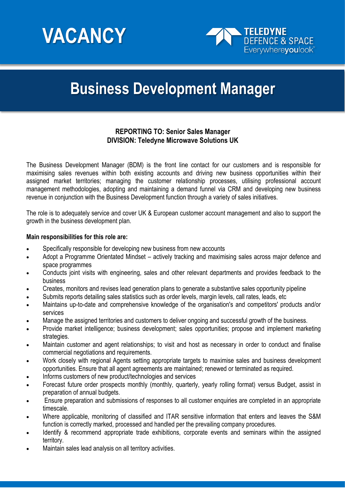



# **Business Development Manager**

# **REPORTING TO: Senior Sales Manager DIVISION: Teledyne Microwave Solutions UK**

The Business Development Manager (BDM) is the front line contact for our customers and is responsible for maximising sales revenues within both existing accounts and driving new business opportunities within their assigned market territories; managing the customer relationship processes, utilising professional account management methodologies, adopting and maintaining a demand funnel via CRM and developing new business revenue in conjunction with the Business Development function through a variety of sales initiatives.

The role is to adequately service and cover UK & European customer account management and also to support the growth in the business development plan.

#### **Main responsibilities for this role are:**

- Specifically responsible for developing new business from new accounts
- Adopt a Programme Orientated Mindset actively tracking and maximising sales across major defence and space programmes
- Conducts joint visits with engineering, sales and other relevant departments and provides feedback to the business
- Creates, monitors and revises lead generation plans to generate a substantive sales opportunity pipeline
- Submits reports detailing sales statistics such as order levels, margin levels, call rates, leads, etc
- Maintains up-to-date and comprehensive knowledge of the organisation's and competitors' products and/or services
- Manage the assigned territories and customers to deliver ongoing and successful growth of the business.
- Provide market intelligence; business development; sales opportunities; propose and implement marketing strategies.
- Maintain customer and agent relationships; to visit and host as necessary in order to conduct and finalise commercial negotiations and requirements.
- Work closely with regional Agents setting appropriate targets to maximise sales and business development opportunities. Ensure that all agent agreements are maintained; renewed or terminated as required.
- Informs customers of new product/technologies and services
- Forecast future order prospects monthly (monthly, quarterly, yearly rolling format) versus Budget, assist in preparation of annual budgets.
- Ensure preparation and submissions of responses to all customer enquiries are completed in an appropriate timescale.
- Where applicable, monitoring of classified and ITAR sensitive information that enters and leaves the S&M function is correctly marked, processed and handled per the prevailing company procedures.
- Identify & recommend appropriate trade exhibitions, corporate events and seminars within the assigned territory.
- Maintain sales lead analysis on all territory activities.